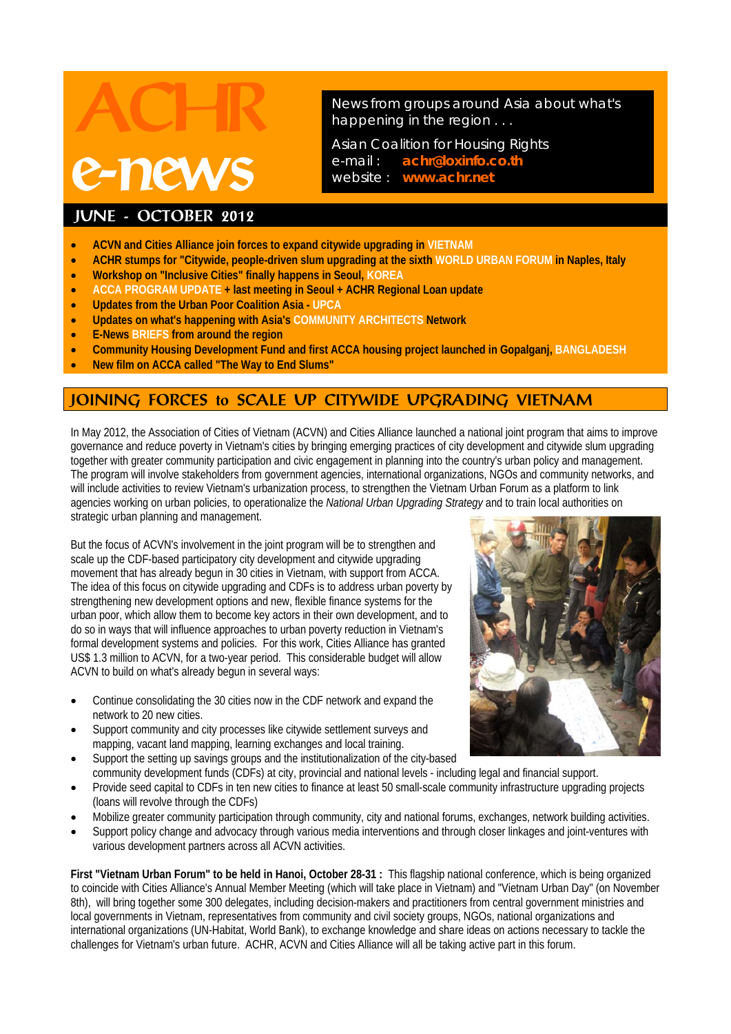

News from groups around Asia about what's happening in the region . . .

Asian Coalition for Housing Rights e-mail : **achr@loxinfo.co.th** website : **www.achr.net**

- **ACVN and Cities Alliance join forces to expand citywide upgrading in VIETNAM**
- **ACHR stumps for "Citywide, people-driven slum upgrading at the sixth WORLD URBAN FORUM in Naples, Italy**
- **Workshop on "Inclusive Cities" finally happens in Seoul, KOREA**
- **ACCA PROGRAM UPDATE + last meeting in Seoul + ACHR Regional Loan update**
- **Updates from the Urban Poor Coalition Asia UPCA**
- **Updates on what's happening with Asia's COMMUNITY ARCHITECTS Network**
- **E-News BRIEFS from around the region**
- **Community Housing Development Fund and first ACCA housing project launched in Gopalganj, BANGLADESH**
- **New film on ACCA called "The Way to End Slums"**

## **JOINING FORCES to SCALE UP CITYWIDE UPGRADING VIETNAM**

In May 2012, the Association of Cities of Vietnam (ACVN) and Cities Alliance launched a national joint program that aims to improve governance and reduce poverty in Vietnam's cities by bringing emerging practices of city development and citywide slum upgrading together with greater community participation and civic engagement in planning into the country's urban policy and management. The program will involve stakeholders from government agencies, international organizations, NGOs and community networks, and will include activities to review Vietnam's urbanization process, to strengthen the Vietnam Urban Forum as a platform to link agencies working on urban policies, to operationalize the *National Urban Upgrading Strategy* and to train local authorities on strategic urban planning and management.

But the focus of ACVN's involvement in the joint program will be to strengthen and scale up the CDF-based participatory city development and citywide upgrading movement that has already begun in 30 cities in Vietnam, with support from ACCA. The idea of this focus on citywide upgrading and CDFs is to address urban poverty by strengthening new development options and new, flexible finance systems for the urban poor, which allow them to become key actors in their own development, and to do so in ways that will influence approaches to urban poverty reduction in Vietnam's formal development systems and policies. For this work, Cities Alliance has granted US\$ 1.3 million to ACVN, for a two-year period. This considerable budget will allow ACVN to build on what's already begun in several ways:

- Continue consolidating the 30 cities now in the CDF network and expand the network to 20 new cities.
- Support community and city processes like citywide settlement surveys and mapping, vacant land mapping, learning exchanges and local training.
- Support the setting up savings groups and the institutionalization of the city-based community development funds (CDFs) at city, provincial and national levels - including legal and financial support.
- Provide seed capital to CDFs in ten new cities to finance at least 50 small-scale community infrastructure upgrading projects (loans will revolve through the CDFs)
- Mobilize greater community participation through community, city and national forums, exchanges, network building activities.
- Support policy change and advocacy through various media interventions and through closer linkages and joint-ventures with
- various development partners across all ACVN activities.

**First "Vietnam Urban Forum" to be held in Hanoi, October 28-31 :** This flagship national conference, which is being organized to coincide with Cities Alliance's Annual Member Meeting (which will take place in Vietnam) and "Vietnam Urban Day" (on November 8th), will bring together some 300 delegates, including decision-makers and practitioners from central government ministries and local governments in Vietnam, representatives from community and civil society groups, NGOs, national organizations and international organizations (UN-Habitat, World Bank), to exchange knowledge and share ideas on actions necessary to tackle the challenges for Vietnam's urban future. ACHR, ACVN and Cities Alliance will all be taking active part in this forum.

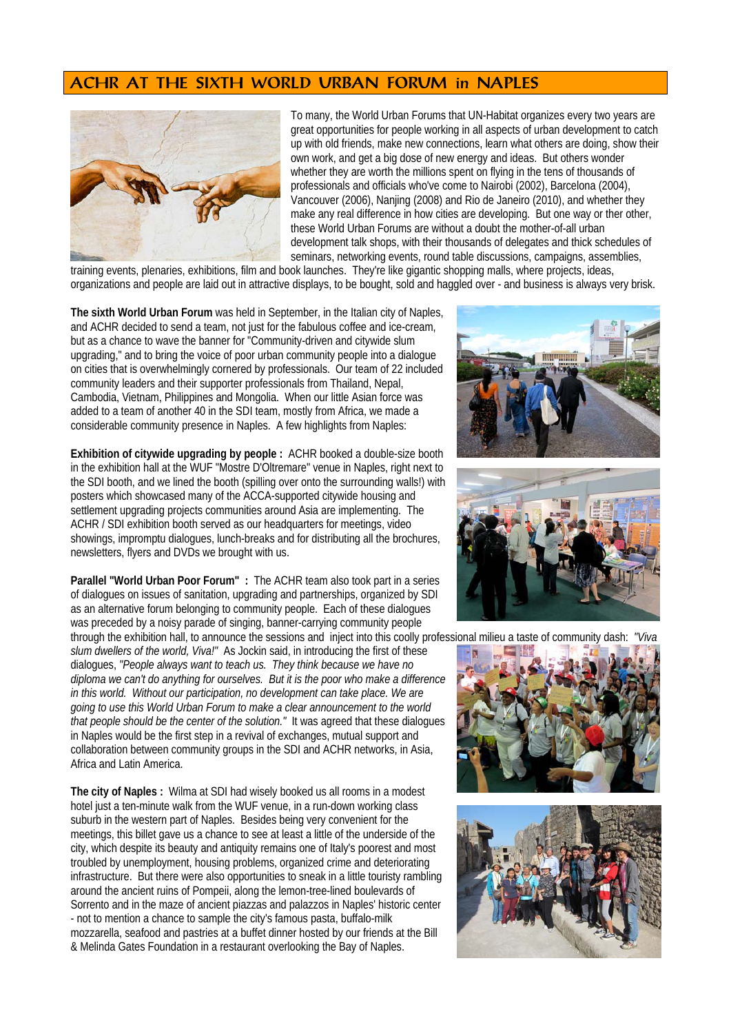## **ACHR AT THE SIXTH WORLD URBAN FORUM in NAPLES**



To many, the World Urban Forums that UN-Habitat organizes every two years are great opportunities for people working in all aspects of urban development to catch up with old friends, make new connections, learn what others are doing, show their own work, and get a big dose of new energy and ideas. But others wonder whether they are worth the millions spent on flying in the tens of thousands of professionals and officials who've come to Nairobi (2002), Barcelona (2004), Vancouver (2006), Nanjing (2008) and Rio de Janeiro (2010), and whether they make any real difference in how cities are developing. But one way or ther other, these World Urban Forums are without a doubt the mother-of-all urban development talk shops, with their thousands of delegates and thick schedules of seminars, networking events, round table discussions, campaigns, assemblies,

training events, plenaries, exhibitions, film and book launches. They're like gigantic shopping malls, where projects, ideas, organizations and people are laid out in attractive displays, to be bought, sold and haggled over - and business is always very brisk.

**The sixth World Urban Forum** was held in September, in the Italian city of Naples, and ACHR decided to send a team, not just for the fabulous coffee and ice-cream, but as a chance to wave the banner for "Community-driven and citywide slum upgrading," and to bring the voice of poor urban community people into a dialogue on cities that is overwhelmingly cornered by professionals. Our team of 22 included community leaders and their supporter professionals from Thailand, Nepal, Cambodia, Vietnam, Philippines and Mongolia. When our little Asian force was added to a team of another 40 in the SDI team, mostly from Africa, we made a considerable community presence in Naples. A few highlights from Naples:

**Exhibition of citywide upgrading by people :** ACHR booked a double-size booth in the exhibition hall at the WUF "Mostre D'Oltremare" venue in Naples, right next to the SDI booth, and we lined the booth (spilling over onto the surrounding walls!) with posters which showcased many of the ACCA-supported citywide housing and settlement upgrading projects communities around Asia are implementing. The ACHR / SDI exhibition booth served as our headquarters for meetings, video showings, impromptu dialogues, lunch-breaks and for distributing all the brochures, newsletters, flyers and DVDs we brought with us.

**Parallel "World Urban Poor Forum" :** The ACHR team also took part in a series of dialogues on issues of sanitation, upgrading and partnerships, organized by SDI as an alternative forum belonging to community people. Each of these dialogues was preceded by a noisy parade of singing, banner-carrying community people

through the exhibition hall, to announce the sessions and inject into this coolly professional milieu a taste of community dash: *"Viva slum dwellers of the world, Viva!"* As Jockin said, in introducing the first of these dialogues, *"People always want to teach us. They think because we have no diploma we can't do anything for ourselves. But it is the poor who make a difference in this world. Without our participation, no development can take place. We are going to use this World Urban Forum to make a clear announcement to the world that people should be the center of the solution."* It was agreed that these dialogues in Naples would be the first step in a revival of exchanges, mutual support and collaboration between community groups in the SDI and ACHR networks, in Asia, Africa and Latin America.

**The city of Naples :** Wilma at SDI had wisely booked us all rooms in a modest hotel just a ten-minute walk from the WUF venue, in a run-down working class suburb in the western part of Naples. Besides being very convenient for the meetings, this billet gave us a chance to see at least a little of the underside of the city, which despite its beauty and antiquity remains one of Italy's poorest and most troubled by unemployment, housing problems, organized crime and deteriorating infrastructure. But there were also opportunities to sneak in a little touristy rambling around the ancient ruins of Pompeii, along the lemon-tree-lined boulevards of Sorrento and in the maze of ancient piazzas and palazzos in Naples' historic center - not to mention a chance to sample the city's famous pasta, buffalo-milk mozzarella, seafood and pastries at a buffet dinner hosted by our friends at the Bill & Melinda Gates Foundation in a restaurant overlooking the Bay of Naples.







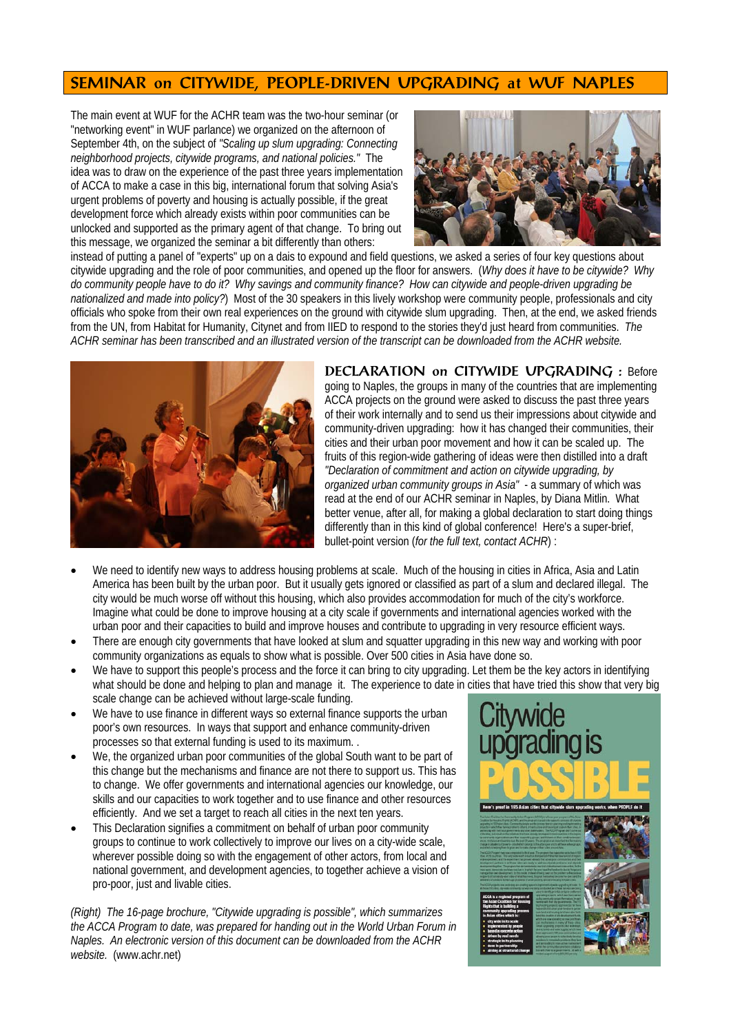## **SEMINAR on CITYWIDE, PEOPLE-DRIVEN UPGRADING at WUF NAPLES**

The main event at WUF for the ACHR team was the two-hour seminar (or "networking event" in WUF parlance) we organized on the afternoon of September 4th, on the subject of *"Scaling up slum upgrading: Connecting neighborhood projects, citywide programs, and national policies."* The idea was to draw on the experience of the past three years implementation of ACCA to make a case in this big, international forum that solving Asia's urgent problems of poverty and housing is actually possible, if the great development force which already exists within poor communities can be unlocked and supported as the primary agent of that change. To bring out this message, we organized the seminar a bit differently than others:



instead of putting a panel of "experts" up on a dais to expound and field questions, we asked a series of four key questions about citywide upgrading and the role of poor communities, and opened up the floor for answers. (*Why does it have to be citywide? Why do community people have to do it? Why savings and community finance? How can citywide and people-driven upgrading be nationalized and made into policy?*) Most of the 30 speakers in this lively workshop were community people, professionals and city officials who spoke from their own real experiences on the ground with citywide slum upgrading. Then, at the end, we asked friends from the UN, from Habitat for Humanity, Citynet and from IIED to respond to the stories they'd just heard from communities. *The ACHR seminar has been transcribed and an illustrated version of the transcript can be downloaded from the ACHR website.* 



**DECLARATION on CITYWIDE UPGRADING :** Before going to Naples, the groups in many of the countries that are implementing ACCA projects on the ground were asked to discuss the past three years of their work internally and to send us their impressions about citywide and community-driven upgrading: how it has changed their communities, their cities and their urban poor movement and how it can be scaled up. The fruits of this region-wide gathering of ideas were then distilled into a draft *"Declaration of commitment and action on citywide upgrading, by organized urban community groups in Asia"* - a summary of which was read at the end of our ACHR seminar in Naples, by Diana Mitlin. What better venue, after all, for making a global declaration to start doing things differently than in this kind of global conference! Here's a super-brief, bullet-point version (*for the full text, contact ACHR*) :

- We need to identify new ways to address housing problems at scale. Much of the housing in cities in Africa, Asia and Latin America has been built by the urban poor. But it usually gets ignored or classified as part of a slum and declared illegal. The city would be much worse off without this housing, which also provides accommodation for much of the city's workforce. Imagine what could be done to improve housing at a city scale if governments and international agencies worked with the urban poor and their capacities to build and improve houses and contribute to upgrading in very resource efficient ways.
- There are enough city governments that have looked at slum and squatter upgrading in this new way and working with poor community organizations as equals to show what is possible. Over 500 cities in Asia have done so.
- We have to support this people's process and the force it can bring to city upgrading. Let them be the key actors in identifying what should be done and helping to plan and manage it. The experience to date in cities that have tried this show that very big scale change can be achieved without large-scale funding.
- We have to use finance in different ways so external finance supports the urban poor's own resources. In ways that support and enhance community-driven processes so that external funding is used to its maximum. .
- We, the organized urban poor communities of the global South want to be part of this change but the mechanisms and finance are not there to support us. This has to change. We offer governments and international agencies our knowledge, our skills and our capacities to work together and to use finance and other resources efficiently. And we set a target to reach all cities in the next ten years.
- This Declaration signifies a commitment on behalf of urban poor community groups to continue to work collectively to improve our lives on a city-wide scale, wherever possible doing so with the engagement of other actors, from local and national government, and development agencies, to together achieve a vision of pro-poor, just and livable cities.

*(Right) The 16-page brochure, "Citywide upgrading is possible", which summarizes the ACCA Program to date, was prepared for handing out in the World Urban Forum in Naples. An electronic version of this document can be downloaded from the ACHR website.* (www.achr.net)

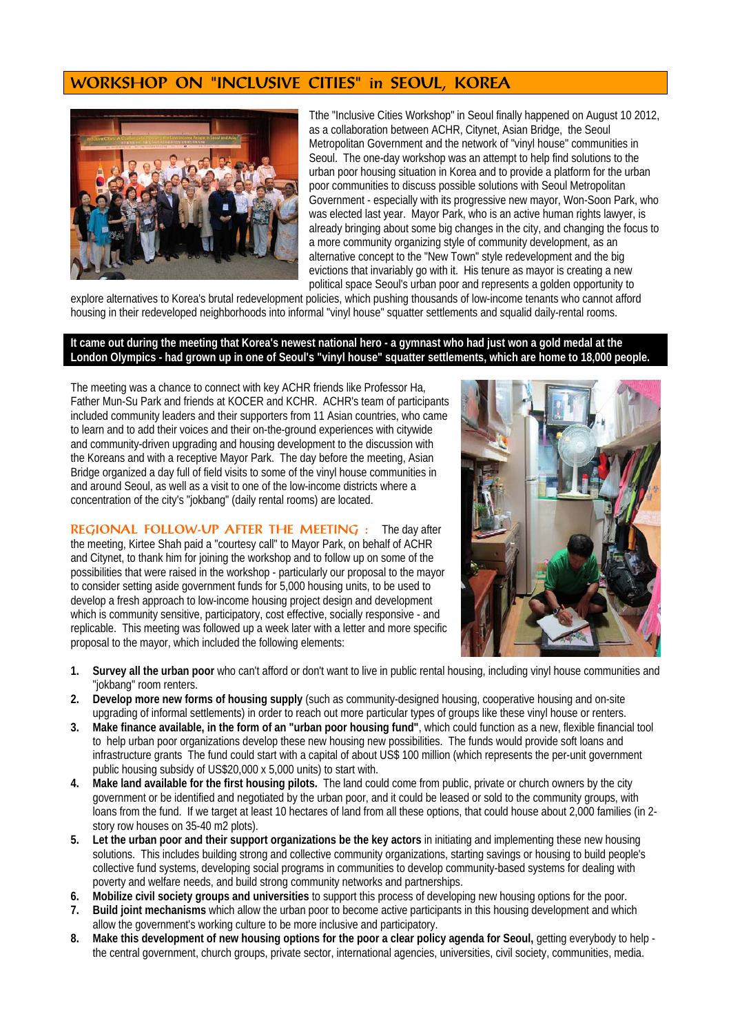# **WORKSHOP ON "INCLUSIVE CITIES" in SEOUL, KOREA**



Tthe "Inclusive Cities Workshop" in Seoul finally happened on August 10 2012, as a collaboration between ACHR, Citynet, Asian Bridge, the Seoul Metropolitan Government and the network of "vinyl house" communities in Seoul. The one-day workshop was an attempt to help find solutions to the urban poor housing situation in Korea and to provide a platform for the urban poor communities to discuss possible solutions with Seoul Metropolitan Government - especially with its progressive new mayor, Won-Soon Park, who was elected last year. Mayor Park, who is an active human rights lawyer, is already bringing about some big changes in the city, and changing the focus to a more community organizing style of community development, as an alternative concept to the "New Town" style redevelopment and the big evictions that invariably go with it. His tenure as mayor is creating a new political space Seoul's urban poor and represents a golden opportunity to

explore alternatives to Korea's brutal redevelopment policies, which pushing thousands of low-income tenants who cannot afford housing in their redeveloped neighborhoods into informal "vinyl house" squatter settlements and squalid daily-rental rooms.

#### **It came out during the meeting that Korea's newest national hero - a gymnast who had just won a gold medal at the London Olympics - had grown up in one of Seoul's "vinyl house" squatter settlements, which are home to 18,000 people.**

The meeting was a chance to connect with key ACHR friends like Professor Ha, Father Mun-Su Park and friends at KOCER and KCHR. ACHR's team of participants included community leaders and their supporters from 11 Asian countries, who came to learn and to add their voices and their on-the-ground experiences with citywide and community-driven upgrading and housing development to the discussion with the Koreans and with a receptive Mayor Park. The day before the meeting, Asian Bridge organized a day full of field visits to some of the vinyl house communities in and around Seoul, as well as a visit to one of the low-income districts where a concentration of the city's "jokbang" (daily rental rooms) are located.

**REGIONAL FOLLOW-UP AFTER THE MEETING :** The day after the meeting, Kirtee Shah paid a "courtesy call" to Mayor Park, on behalf of ACHR and Citynet, to thank him for joining the workshop and to follow up on some of the possibilities that were raised in the workshop - particularly our proposal to the mayor to consider setting aside government funds for 5,000 housing units, to be used to develop a fresh approach to low-income housing project design and development which is community sensitive, participatory, cost effective, socially responsive - and replicable. This meeting was followed up a week later with a letter and more specific proposal to the mayor, which included the following elements:



- **1. Survey all the urban poor** who can't afford or don't want to live in public rental housing, including vinyl house communities and "jokbang" room renters.
- **2. Develop more new forms of housing supply** (such as community-designed housing, cooperative housing and on-site upgrading of informal settlements) in order to reach out more particular types of groups like these vinyl house or renters.
- **3. Make finance available, in the form of an "urban poor housing fund"**, which could function as a new, flexible financial tool to help urban poor organizations develop these new housing new possibilities. The funds would provide soft loans and infrastructure grants The fund could start with a capital of about US\$ 100 million (which represents the per-unit government public housing subsidy of US\$20,000 x 5,000 units) to start with.
- **4. Make land available for the first housing pilots.** The land could come from public, private or church owners by the city government or be identified and negotiated by the urban poor, and it could be leased or sold to the community groups, with loans from the fund. If we target at least 10 hectares of land from all these options, that could house about 2,000 families (in 2story row houses on 35-40 m2 plots).
- **5. Let the urban poor and their support organizations be the key actors** in initiating and implementing these new housing solutions. This includes building strong and collective community organizations, starting savings or housing to build people's collective fund systems, developing social programs in communities to develop community-based systems for dealing with poverty and welfare needs, and build strong community networks and partnerships.
- **6. Mobilize civil society groups and universities** to support this process of developing new housing options for the poor.
- **7. Build joint mechanisms** which allow the urban poor to become active participants in this housing development and which allow the government's working culture to be more inclusive and participatory.
- 8. Make this development of new housing options for the poor a clear policy agenda for Seoul, getting everybody to help the central government, church groups, private sector, international agencies, universities, civil society, communities, media.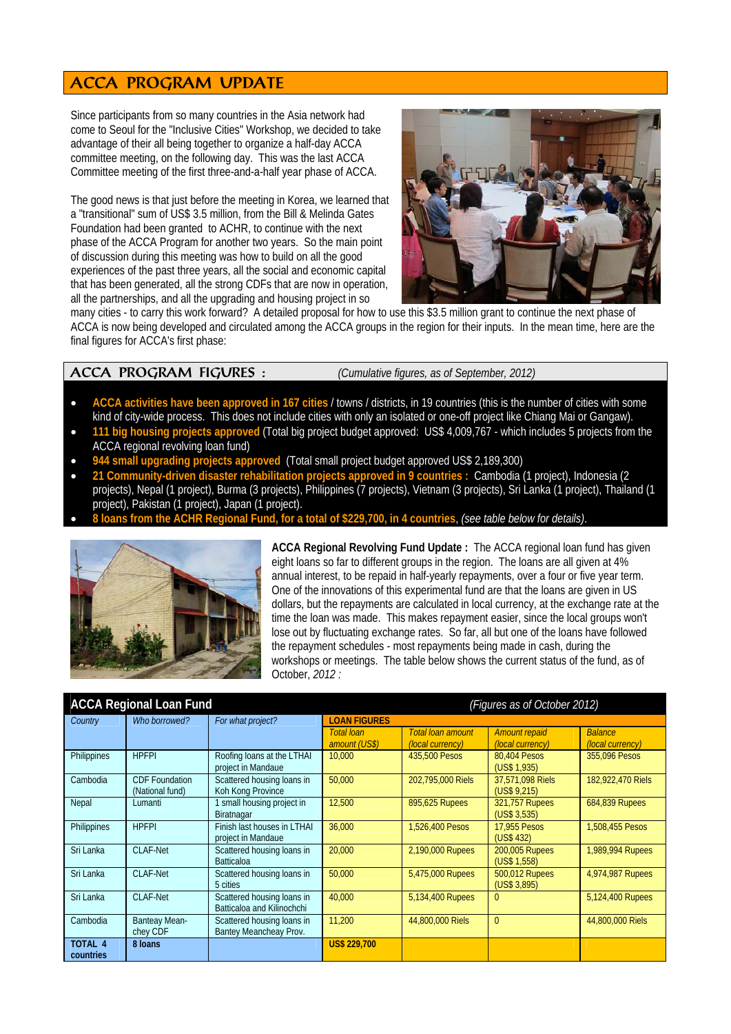# **ACCA PROGRAM UPDATE**

Since participants from so many countries in the Asia network had come to Seoul for the "Inclusive Cities" Workshop, we decided to take advantage of their all being together to organize a half-day ACCA committee meeting, on the following day. This was the last ACCA Committee meeting of the first three-and-a-half year phase of ACCA.

The good news is that just before the meeting in Korea, we learned that a "transitional" sum of US\$ 3.5 million, from the Bill & Melinda Gates Foundation had been granted to ACHR, to continue with the next phase of the ACCA Program for another two years. So the main point of discussion during this meeting was how to build on all the good experiences of the past three years, all the social and economic capital that has been generated, all the strong CDFs that are now in operation, all the partnerships, and all the upgrading and housing project in so



many cities - to carry this work forward? A detailed proposal for how to use this \$3.5 million grant to continue the next phase of ACCA is now being developed and circulated among the ACCA groups in the region for their inputs. In the mean time, here are the final figures for ACCA's first phase:

#### **ACCA PROGRAM FIGURES :** *(Cumulative figures, as of September, 2012)*

- **ACCA activities have been approved in 167 cities** / towns / districts, in 19 countries (this is the number of cities with some kind of city-wide process. This does not include cities with only an isolated or one-off project like Chiang Mai or Gangaw). • **111 big housing projects approved** (Total big project budget approved: US\$ 4,009,767 - which includes 5 projects from the
- ACCA regional revolving loan fund)
- **944 small upgrading projects approved** (Total small project budget approved US\$ 2,189,300)
- **21 Community-driven disaster rehabilitation projects approved in 9 countries :** Cambodia (1 project), Indonesia (2 projects), Nepal (1 project), Burma (3 projects), Philippines (7 projects), Vietnam (3 projects), Sri Lanka (1 project), Thailand (1 project), Pakistan (1 project), Japan (1 project).
- **8 loans from the ACHR Regional Fund, for a total of \$229,700, in 4 countries**, *(see table below for details)*.



**ACCA Regional Revolving Fund Update :** The ACCA regional loan fund has given eight loans so far to different groups in the region. The loans are all given at 4% annual interest, to be repaid in half-yearly repayments, over a four or five year term. One of the innovations of this experimental fund are that the loans are given in US dollars, but the repayments are calculated in local currency, at the exchange rate at the time the loan was made. This makes repayment easier, since the local groups won't lose out by fluctuating exchange rates. So far, all but one of the loans have followed the repayment schedules - most repayments being made in cash, during the workshops or meetings. The table below shows the current status of the fund, as of October, *2012 :* 

|                             | <b>ACCA Regional Loan Fund</b>           |                                                          | (Figures as of October 2012) |                          |                                  |                   |
|-----------------------------|------------------------------------------|----------------------------------------------------------|------------------------------|--------------------------|----------------------------------|-------------------|
| Country                     | Who borrowed?                            | For what project?                                        | <b>LOAN FIGURES</b>          |                          |                                  |                   |
|                             |                                          |                                                          | <b>Total loan</b>            | <b>Total loan amount</b> | <b>Amount repaid</b>             | <b>Balance</b>    |
|                             |                                          |                                                          | amount (US\$)                | (local currency)         | (local currency)                 | (local currency)  |
| <b>Philippines</b>          | <b>HPFPI</b>                             | Roofing loans at the LTHAI<br>project in Mandaue         | 10,000                       | 435,500 Pesos            | 80.404 Pesos<br>(US\$ 1,935)     | 355,096 Pesos     |
| Cambodia                    | <b>CDF Foundation</b><br>(National fund) | Scattered housing loans in<br>Koh Kong Province          | 50,000                       | 202,795,000 Riels        | 37,571,098 Riels<br>(US\$ 9,215) | 182,922,470 Riels |
| Nepal                       | Lumanti                                  | 1 small housing project in<br>Biratnagar                 | 12,500                       | 895,625 Rupees           | 321,757 Rupees<br>(US\$ 3,535)   | 684,839 Rupees    |
| <b>Philippines</b>          | <b>HPFPI</b>                             | Finish last houses in LTHAI<br>project in Mandaue        | 36,000                       | 1,526,400 Pesos          | 17.955 Pesos<br>(US\$ 432)       | 1,508,455 Pesos   |
| Sri Lanka                   | <b>CLAF-Net</b>                          | Scattered housing loans in<br><b>Batticaloa</b>          | 20,000                       | 2,190,000 Rupees         | 200,005 Rupees<br>(US\$ 1,558)   | 1,989,994 Rupees  |
| Sri Lanka                   | <b>CLAF-Net</b>                          | Scattered housing loans in<br>5 cities                   | 50,000                       | 5,475,000 Rupees         | 500,012 Rupees<br>(US\$ 3,895)   | 4,974,987 Rupees  |
| Sri Lanka                   | <b>CLAF-Net</b>                          | Scattered housing loans in<br>Batticaloa and Kilinochchi | 40,000                       | 5,134,400 Rupees         | $\Omega$                         | 5,124,400 Rupees  |
| Cambodia                    | <b>Banteay Mean-</b><br>chey CDF         | Scattered housing loans in<br>Bantey Meancheay Prov.     | 11,200                       | 44,800,000 Riels         | $\theta$                         | 44,800,000 Riels  |
| <b>TOTAL 4</b><br>countries | 8 loans                                  |                                                          | <b>US\$ 229,700</b>          |                          |                                  |                   |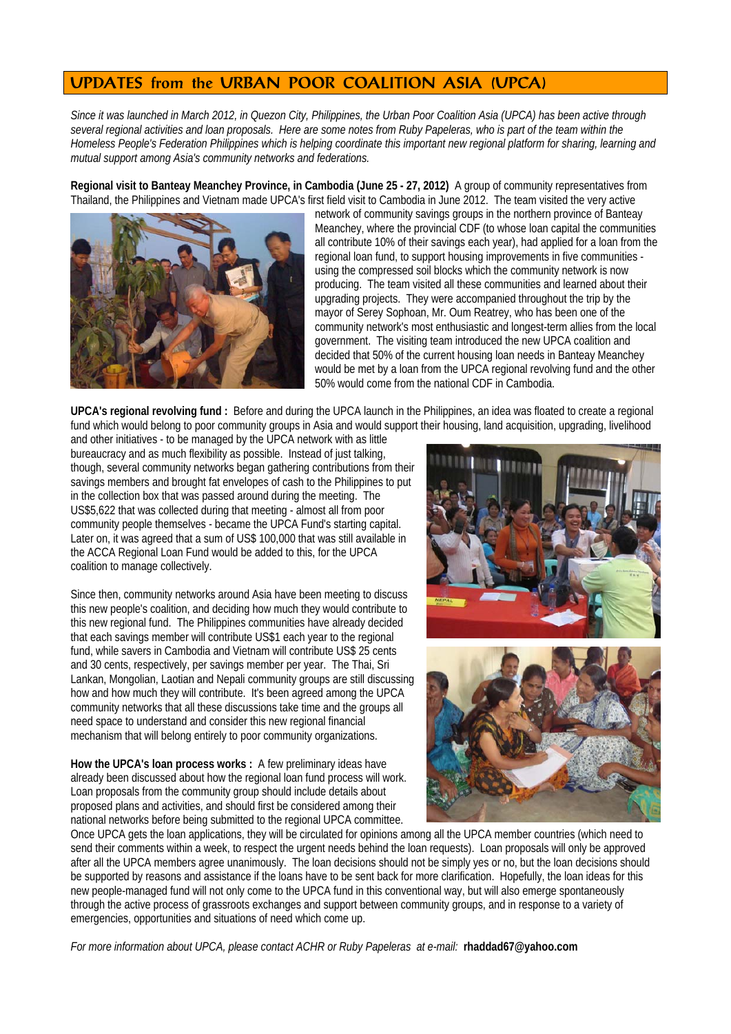# **UPDATES from the URBAN POOR COALITION ASIA (UPCA)**

*Since it was launched in March 2012, in Quezon City, Philippines, the Urban Poor Coalition Asia (UPCA) has been active through several regional activities and loan proposals. Here are some notes from Ruby Papeleras, who is part of the team within the Homeless People's Federation Philippines which is helping coordinate this important new regional platform for sharing, learning and mutual support among Asia's community networks and federations.* 

**Regional visit to Banteay Meanchey Province, in Cambodia (June 25 - 27, 2012)** A group of community representatives from Thailand, the Philippines and Vietnam made UPCA's first field visit to Cambodia in June 2012. The team visited the very active



network of community savings groups in the northern province of Banteay Meanchey, where the provincial CDF (to whose loan capital the communities all contribute 10% of their savings each year), had applied for a loan from the regional loan fund, to support housing improvements in five communities using the compressed soil blocks which the community network is now producing. The team visited all these communities and learned about their upgrading projects. They were accompanied throughout the trip by the mayor of Serey Sophoan, Mr. Oum Reatrey, who has been one of the community network's most enthusiastic and longest-term allies from the local government. The visiting team introduced the new UPCA coalition and decided that 50% of the current housing loan needs in Banteay Meanchey would be met by a loan from the UPCA regional revolving fund and the other 50% would come from the national CDF in Cambodia.

**UPCA's regional revolving fund :** Before and during the UPCA launch in the Philippines, an idea was floated to create a regional fund which would belong to poor community groups in Asia and would support their housing, land acquisition, upgrading, livelihood

and other initiatives - to be managed by the UPCA network with as little bureaucracy and as much flexibility as possible. Instead of just talking, though, several community networks began gathering contributions from their savings members and brought fat envelopes of cash to the Philippines to put in the collection box that was passed around during the meeting. The US\$5,622 that was collected during that meeting - almost all from poor community people themselves - became the UPCA Fund's starting capital. Later on, it was agreed that a sum of US\$ 100,000 that was still available in the ACCA Regional Loan Fund would be added to this, for the UPCA coalition to manage collectively.

Since then, community networks around Asia have been meeting to discuss this new people's coalition, and deciding how much they would contribute to this new regional fund. The Philippines communities have already decided that each savings member will contribute US\$1 each year to the regional fund, while savers in Cambodia and Vietnam will contribute US\$ 25 cents and 30 cents, respectively, per savings member per year. The Thai, Sri Lankan, Mongolian, Laotian and Nepali community groups are still discussing how and how much they will contribute. It's been agreed among the UPCA community networks that all these discussions take time and the groups all need space to understand and consider this new regional financial mechanism that will belong entirely to poor community organizations.

**How the UPCA's loan process works :** A few preliminary ideas have already been discussed about how the regional loan fund process will work. Loan proposals from the community group should include details about proposed plans and activities, and should first be considered among their national networks before being submitted to the regional UPCA committee.



Once UPCA gets the loan applications, they will be circulated for opinions among all the UPCA member countries (which need to send their comments within a week, to respect the urgent needs behind the loan requests). Loan proposals will only be approved after all the UPCA members agree unanimously. The loan decisions should not be simply yes or no, but the loan decisions should be supported by reasons and assistance if the loans have to be sent back for more clarification. Hopefully, the loan ideas for this new people-managed fund will not only come to the UPCA fund in this conventional way, but will also emerge spontaneously through the active process of grassroots exchanges and support between community groups, and in response to a variety of emergencies, opportunities and situations of need which come up.

*For more information about UPCA, please contact ACHR or Ruby Papeleras at e-mail:* **rhaddad67@yahoo.com**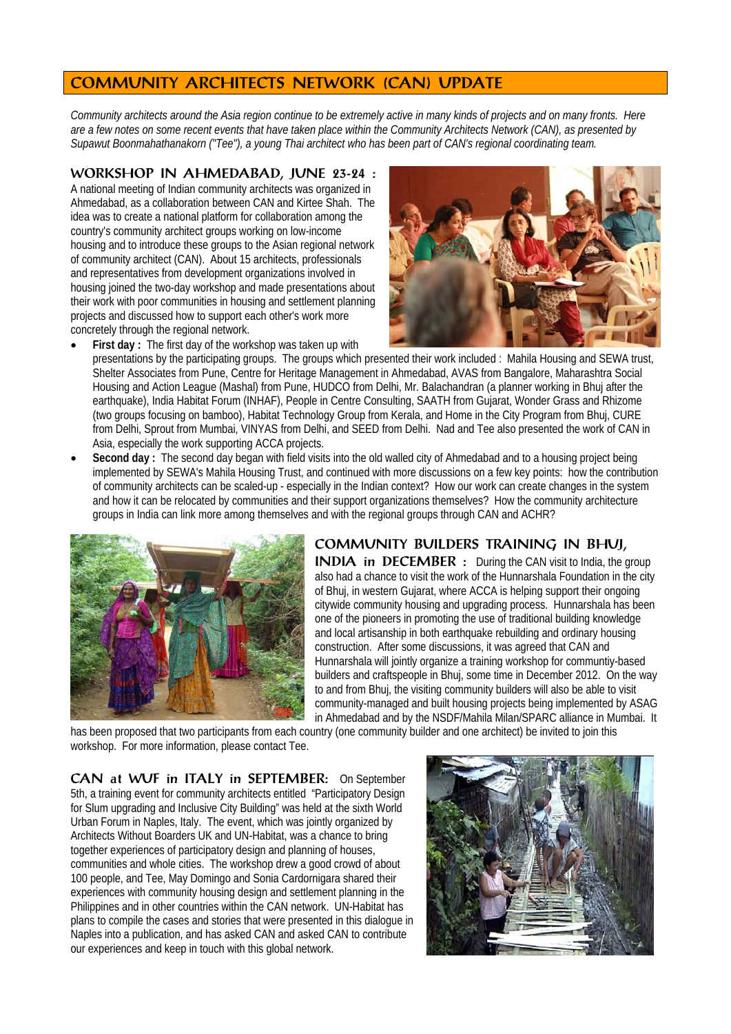## **COMMUNITY ARCHITECTS NETWORK (CAN) UPDATE**

*Community architects around the Asia region continue to be extremely active in many kinds of projects and on many fronts. Here are a few notes on some recent events that have taken place within the Community Architects Network (CAN), as presented by Supawut Boonmahathanakorn ("Tee"), a young Thai architect who has been part of CAN's regional coordinating team.* 

#### **WORKSHOP IN AHMEDABAD, JUNE 23-24 :**

A national meeting of Indian community architects was organized in Ahmedabad, as a collaboration between CAN and Kirtee Shah. The idea was to create a national platform for collaboration among the country's community architect groups working on low-income housing and to introduce these groups to the Asian regional network of community architect (CAN). About 15 architects, professionals and representatives from development organizations involved in housing joined the two-day workshop and made presentations about their work with poor communities in housing and settlement planning projects and discussed how to support each other's work more concretely through the regional network.



- **First day :** The first day of the workshop was taken up with presentations by the participating groups. The groups which presented their work included : Mahila Housing and SEWA trust, Shelter Associates from Pune, Centre for Heritage Management in Ahmedabad, AVAS from Bangalore, Maharashtra Social Housing and Action League (Mashal) from Pune, HUDCO from Delhi, Mr. Balachandran (a planner working in Bhuj after the earthquake), India Habitat Forum (INHAF), People in Centre Consulting, SAATH from Gujarat, Wonder Grass and Rhizome (two groups focusing on bamboo), Habitat Technology Group from Kerala, and Home in the City Program from Bhuj, CURE from Delhi, Sprout from Mumbai, VINYAS from Delhi, and SEED from Delhi. Nad and Tee also presented the work of CAN in Asia, especially the work supporting ACCA projects.
- **Second day :** The second day began with field visits into the old walled city of Ahmedabad and to a housing project being implemented by SEWA's Mahila Housing Trust, and continued with more discussions on a few key points: how the contribution of community architects can be scaled-up - especially in the Indian context? How our work can create changes in the system and how it can be relocated by communities and their support organizations themselves? How the community architecture groups in India can link more among themselves and with the regional groups through CAN and ACHR?



**COMMUNITY BUILDERS TRAINING IN BHUJ, INDIA in DECEMBER :** During the CAN visit to India, the group also had a chance to visit the work of the Hunnarshala Foundation in the city of Bhuj, in western Gujarat, where ACCA is helping support their ongoing citywide community housing and upgrading process. Hunnarshala has been one of the pioneers in promoting the use of traditional building knowledge and local artisanship in both earthquake rebuilding and ordinary housing construction. After some discussions, it was agreed that CAN and Hunnarshala will jointly organize a training workshop for communtiy-based builders and craftspeople in Bhuj, some time in December 2012. On the way to and from Bhuj, the visiting community builders will also be able to visit community-managed and built housing projects being implemented by ASAG in Ahmedabad and by the NSDF/Mahila Milan/SPARC alliance in Mumbai. It

has been proposed that two participants from each country (one community builder and one architect) be invited to join this workshop. For more information, please contact Tee.

**CAN at WUF in ITALY in SEPTEMBER:** On September 5th, a training event for community architects entitled "Participatory Design for Slum upgrading and Inclusive City Building" was held at the sixth World Urban Forum in Naples, Italy. The event, which was jointly organized by Architects Without Boarders UK and UN-Habitat, was a chance to bring together experiences of participatory design and planning of houses, communities and whole cities. The workshop drew a good crowd of about 100 people, and Tee, May Domingo and Sonia Cardornigara shared their experiences with community housing design and settlement planning in the Philippines and in other countries within the CAN network. UN-Habitat has plans to compile the cases and stories that were presented in this dialogue in Naples into a publication, and has asked CAN and asked CAN to contribute our experiences and keep in touch with this global network.

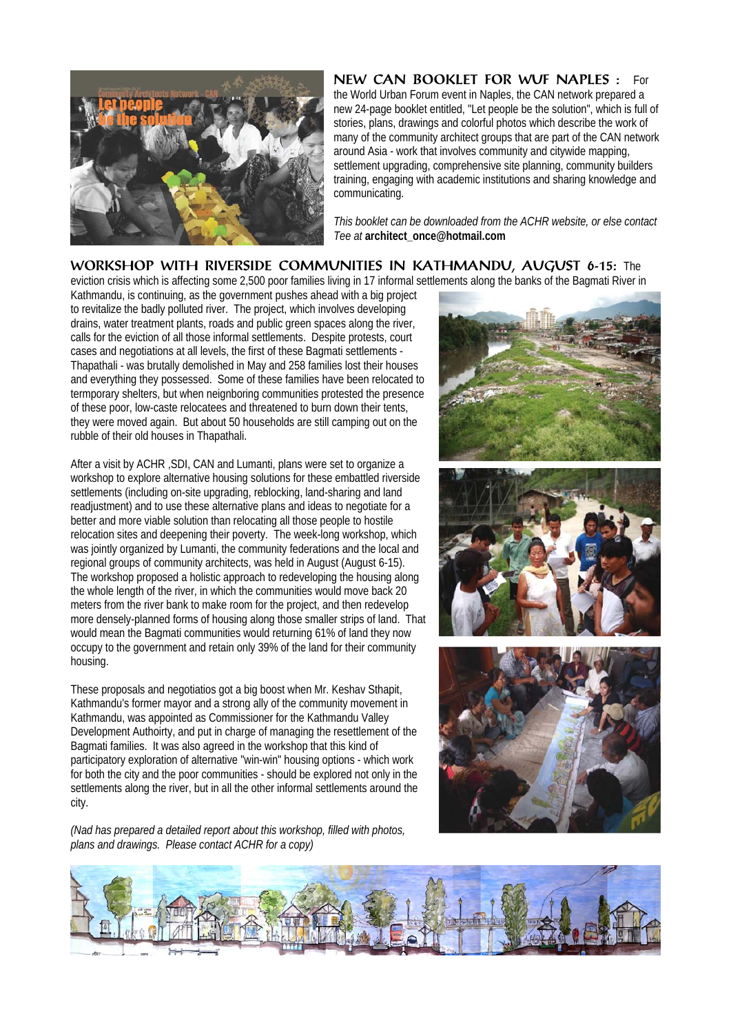

**NEW CAN BOOKLET FOR WUF NAPLES :** For the World Urban Forum event in Naples, the CAN network prepared a new 24-page booklet entitled, "Let people be the solution", which is full of stories, plans, drawings and colorful photos which describe the work of many of the community architect groups that are part of the CAN network around Asia - work that involves community and citywide mapping, settlement upgrading, comprehensive site planning, community builders training, engaging with academic institutions and sharing knowledge and communicating.

*This booklet can be downloaded from the ACHR website, or else contact Tee at* **architect\_once@hotmail.com** 

**WORKSHOP WITH RIVERSIDE COMMUNITIES IN KATHMANDU, AUGUST 6-15:** The eviction crisis which is affecting some 2,500 poor families living in 17 informal settlements along the banks of the Bagmati River in

Kathmandu, is continuing, as the government pushes ahead with a big project to revitalize the badly polluted river. The project, which involves developing drains, water treatment plants, roads and public green spaces along the river, calls for the eviction of all those informal settlements. Despite protests, court cases and negotiations at all levels, the first of these Bagmati settlements - Thapathali - was brutally demolished in May and 258 families lost their houses and everything they possessed. Some of these families have been relocated to termporary shelters, but when neignboring communities protested the presence of these poor, low-caste relocatees and threatened to burn down their tents, they were moved again. But about 50 households are still camping out on the rubble of their old houses in Thapathali.

After a visit by ACHR ,SDI, CAN and Lumanti, plans were set to organize a workshop to explore alternative housing solutions for these embattled riverside settlements (including on-site upgrading, reblocking, land-sharing and land readjustment) and to use these alternative plans and ideas to negotiate for a better and more viable solution than relocating all those people to hostile relocation sites and deepening their poverty. The week-long workshop, which was jointly organized by Lumanti, the community federations and the local and regional groups of community architects, was held in August (August 6-15). The workshop proposed a holistic approach to redeveloping the housing along the whole length of the river, in which the communities would move back 20 meters from the river bank to make room for the project, and then redevelop more densely-planned forms of housing along those smaller strips of land. That would mean the Bagmati communities would returning 61% of land they now occupy to the government and retain only 39% of the land for their community housing.

These proposals and negotiatios got a big boost when Mr. Keshav Sthapit, Kathmandu's former mayor and a strong ally of the community movement in Kathmandu, was appointed as Commissioner for the Kathmandu Valley Development Authoirty, and put in charge of managing the resettlement of the Bagmati families. It was also agreed in the workshop that this kind of participatory exploration of alternative "win-win" housing options - which work for both the city and the poor communities - should be explored not only in the settlements along the river, but in all the other informal settlements around the city.

*(Nad has prepared a detailed report about this workshop, filled with photos, plans and drawings. Please contact ACHR for a copy)* 



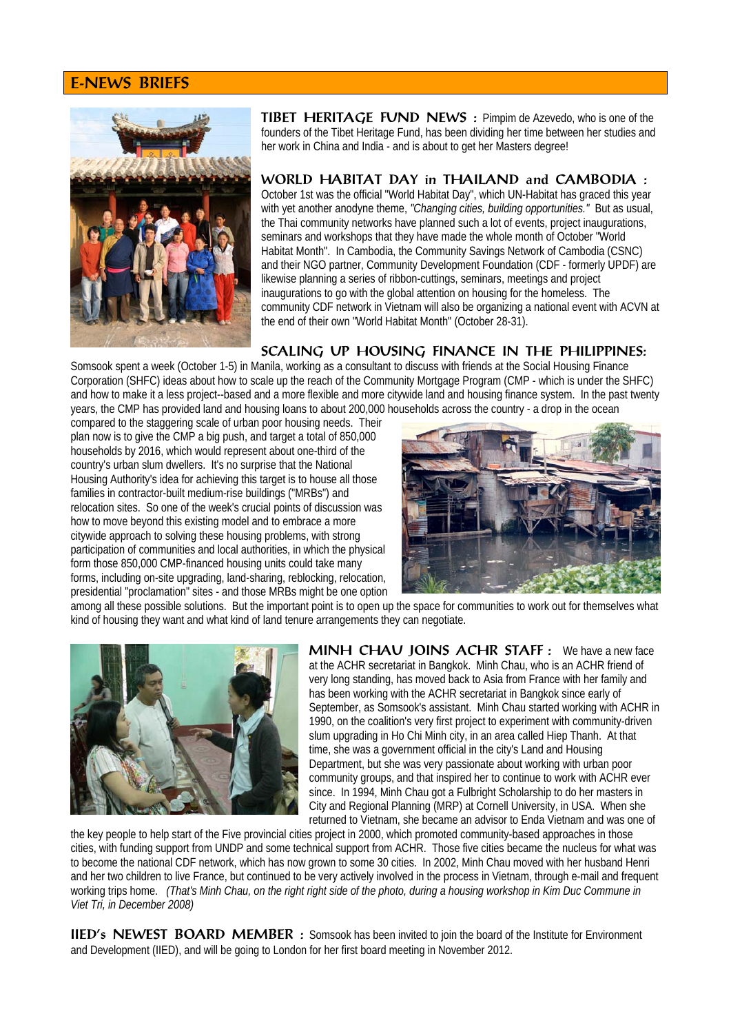#### **E-NEWS BRIEFS**



**TIBET HERITAGE FUND NEWS :** Pimpim de Azevedo, who is one of the founders of the Tibet Heritage Fund, has been dividing her time between her studies and her work in China and India - and is about to get her Masters degree!

#### **WORLD HABITAT DAY in THAILAND and CAMBODIA :**

October 1st was the official "World Habitat Day", which UN-Habitat has graced this year with yet another anodyne theme, *"Changing cities, building opportunities."* But as usual, the Thai community networks have planned such a lot of events, project inaugurations, seminars and workshops that they have made the whole month of October "World Habitat Month". In Cambodia, the Community Savings Network of Cambodia (CSNC) and their NGO partner, Community Development Foundation (CDF - formerly UPDF) are likewise planning a series of ribbon-cuttings, seminars, meetings and project inaugurations to go with the global attention on housing for the homeless. The community CDF network in Vietnam will also be organizing a national event with ACVN at the end of their own "World Habitat Month" (October 28-31).

#### **SCALING UP HOUSING FINANCE IN THE PHILIPPINES:**

Somsook spent a week (October 1-5) in Manila, working as a consultant to discuss with friends at the Social Housing Finance Corporation (SHFC) ideas about how to scale up the reach of the Community Mortgage Program (CMP - which is under the SHFC) and how to make it a less project--based and a more flexible and more citywide land and housing finance system. In the past twenty years, the CMP has provided land and housing loans to about 200,000 households across the country - a drop in the ocean

compared to the staggering scale of urban poor housing needs. Their plan now is to give the CMP a big push, and target a total of 850,000 households by 2016, which would represent about one-third of the country's urban slum dwellers. It's no surprise that the National Housing Authority's idea for achieving this target is to house all those families in contractor-built medium-rise buildings ("MRBs") and relocation sites. So one of the week's crucial points of discussion was how to move beyond this existing model and to embrace a more citywide approach to solving these housing problems, with strong participation of communities and local authorities, in which the physical form those 850,000 CMP-financed housing units could take many forms, including on-site upgrading, land-sharing, reblocking, relocation, presidential "proclamation" sites - and those MRBs might be one option



among all these possible solutions. But the important point is to open up the space for communities to work out for themselves what kind of housing they want and what kind of land tenure arrangements they can negotiate.



**MINH CHAU JOINS ACHR STAFF : We have a new face** at the ACHR secretariat in Bangkok. Minh Chau, who is an ACHR friend of very long standing, has moved back to Asia from France with her family and has been working with the ACHR secretariat in Bangkok since early of September, as Somsook's assistant. Minh Chau started working with ACHR in 1990, on the coalition's very first project to experiment with community-driven slum upgrading in Ho Chi Minh city, in an area called Hiep Thanh. At that time, she was a government official in the city's Land and Housing Department, but she was very passionate about working with urban poor community groups, and that inspired her to continue to work with ACHR ever since. In 1994, Minh Chau got a Fulbright Scholarship to do her masters in City and Regional Planning (MRP) at Cornell University, in USA. When she returned to Vietnam, she became an advisor to Enda Vietnam and was one of

the key people to help start of the Five provincial cities project in 2000, which promoted community-based approaches in those cities, with funding support from UNDP and some technical support from ACHR. Those five cities became the nucleus for what was to become the national CDF network, which has now grown to some 30 cities. In 2002, Minh Chau moved with her husband Henri and her two children to live France, but continued to be very actively involved in the process in Vietnam, through e-mail and frequent working trips home. *(That's Minh Chau, on the right right side of the photo, during a housing workshop in Kim Duc Commune in Viet Tri, in December 2008)* 

**IIED's NEWEST BOARD MEMBER** : Somsook has been invited to join the board of the Institute for Environment and Development (IIED), and will be going to London for her first board meeting in November 2012.